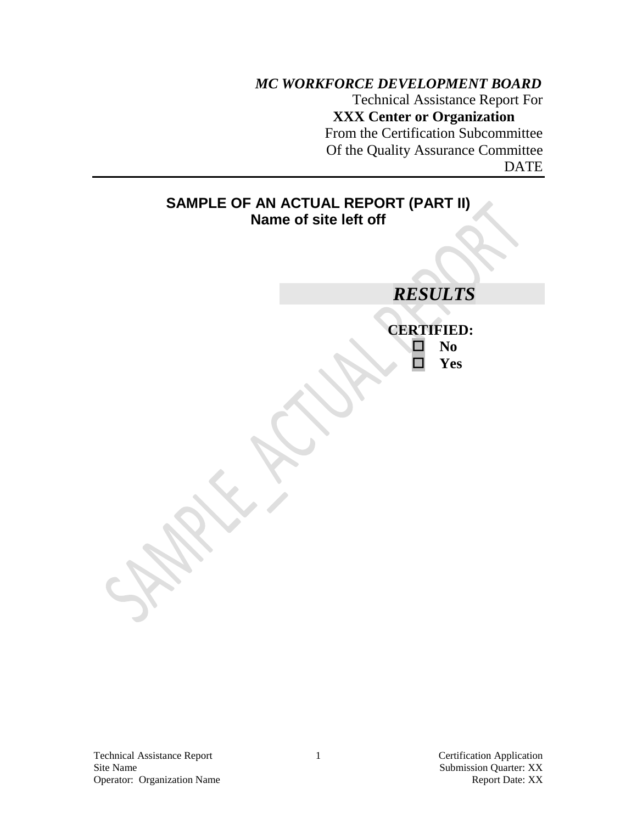# *MC WORKFORCE DEVELOPMENT BOARD* Technical Assistance Report For **XXX Center or Organization** From the Certification Subcommittee Of the Quality Assurance Committee DATE

**SAMPLE OF AN ACTUAL REPORT (PART II) Name of site left off** *RESULTS* **CERTIFIED: No Yes**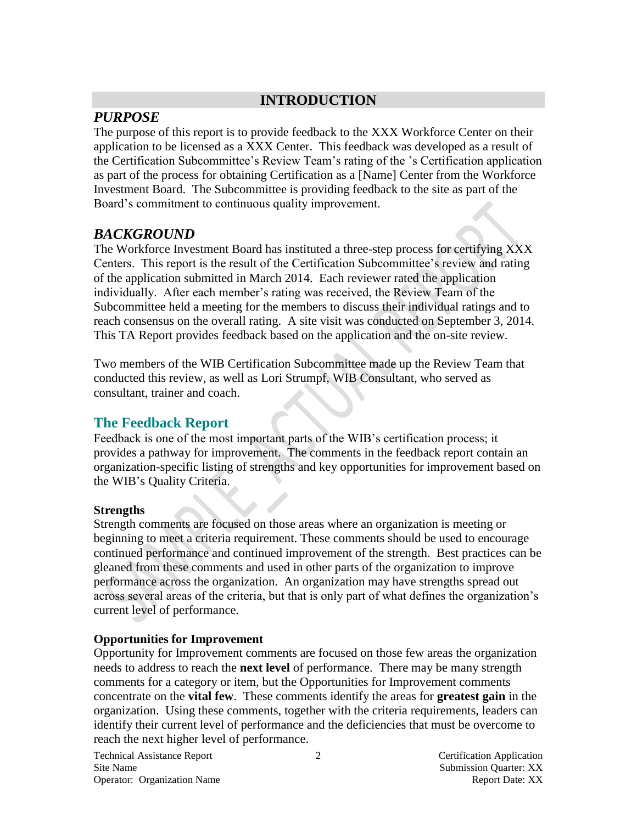# **INTRODUCTION**

# *PURPOSE*

The purpose of this report is to provide feedback to the XXX Workforce Center on their application to be licensed as a XXX Center. This feedback was developed as a result of the Certification Subcommittee's Review Team's rating of the 's Certification application as part of the process for obtaining Certification as a [Name] Center from the Workforce Investment Board. The Subcommittee is providing feedback to the site as part of the Board's commitment to continuous quality improvement.

# *BACKGROUND*

The Workforce Investment Board has instituted a three-step process for certifying XXX Centers. This report is the result of the Certification Subcommittee's review and rating of the application submitted in March 2014. Each reviewer rated the application individually. After each member's rating was received, the Review Team of the Subcommittee held a meeting for the members to discuss their individual ratings and to reach consensus on the overall rating. A site visit was conducted on September 3, 2014. This TA Report provides feedback based on the application and the on-site review.

Two members of the WIB Certification Subcommittee made up the Review Team that conducted this review, as well as Lori Strumpf, WIB Consultant, who served as consultant, trainer and coach.

# **The Feedback Report**

Feedback is one of the most important parts of the WIB's certification process; it provides a pathway for improvement. The comments in the feedback report contain an organization-specific listing of strengths and key opportunities for improvement based on the WIB's Quality Criteria.

## **Strengths**

Strength comments are focused on those areas where an organization is meeting or beginning to meet a criteria requirement. These comments should be used to encourage continued performance and continued improvement of the strength. Best practices can be gleaned from these comments and used in other parts of the organization to improve performance across the organization. An organization may have strengths spread out across several areas of the criteria, but that is only part of what defines the organization's current level of performance.

### **Opportunities for Improvement**

Opportunity for Improvement comments are focused on those few areas the organization needs to address to reach the **next level** of performance. There may be many strength comments for a category or item, but the Opportunities for Improvement comments concentrate on the **vital few**. These comments identify the areas for **greatest gain** in the organization. Using these comments, together with the criteria requirements, leaders can identify their current level of performance and the deficiencies that must be overcome to reach the next higher level of performance.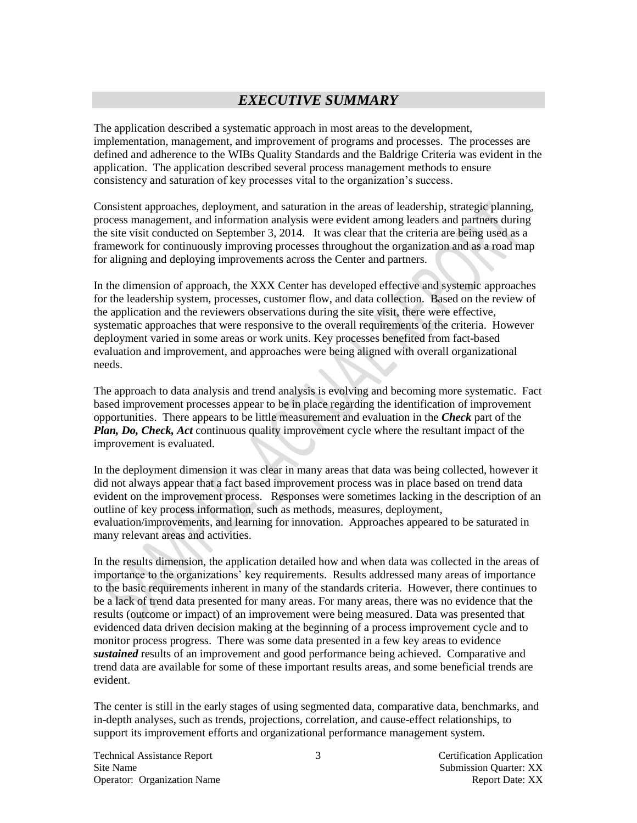# *EXECUTIVE SUMMARY*

The application described a systematic approach in most areas to the development, implementation, management, and improvement of programs and processes. The processes are defined and adherence to the WIBs Quality Standards and the Baldrige Criteria was evident in the application. The application described several process management methods to ensure consistency and saturation of key processes vital to the organization's success.

Consistent approaches, deployment, and saturation in the areas of leadership, strategic planning, process management, and information analysis were evident among leaders and partners during the site visit conducted on September 3, 2014. It was clear that the criteria are being used as a framework for continuously improving processes throughout the organization and as a road map for aligning and deploying improvements across the Center and partners.

In the dimension of approach, the XXX Center has developed effective and systemic approaches for the leadership system, processes, customer flow, and data collection. Based on the review of the application and the reviewers observations during the site visit, there were effective, systematic approaches that were responsive to the overall requirements of the criteria. However deployment varied in some areas or work units. Key processes benefited from fact-based evaluation and improvement, and approaches were being aligned with overall organizational needs.

The approach to data analysis and trend analysis is evolving and becoming more systematic. Fact based improvement processes appear to be in place regarding the identification of improvement opportunities. There appears to be little measurement and evaluation in the *Check* part of the *Plan, Do, Check, Act* continuous quality improvement cycle where the resultant impact of the improvement is evaluated.

In the deployment dimension it was clear in many areas that data was being collected, however it did not always appear that a fact based improvement process was in place based on trend data evident on the improvement process. Responses were sometimes lacking in the description of an outline of key process information, such as methods, measures, deployment, evaluation/improvements, and learning for innovation. Approaches appeared to be saturated in many relevant areas and activities.

In the results dimension, the application detailed how and when data was collected in the areas of importance to the organizations' key requirements. Results addressed many areas of importance to the basic requirements inherent in many of the standards criteria. However, there continues to be a lack of trend data presented for many areas. For many areas, there was no evidence that the results (outcome or impact) of an improvement were being measured. Data was presented that evidenced data driven decision making at the beginning of a process improvement cycle and to monitor process progress. There was some data presented in a few key areas to evidence *sustained* results of an improvement and good performance being achieved. Comparative and trend data are available for some of these important results areas, and some beneficial trends are evident.

The center is still in the early stages of using segmented data, comparative data, benchmarks, and in-depth analyses, such as trends, projections, correlation, and cause-effect relationships, to support its improvement efforts and organizational performance management system.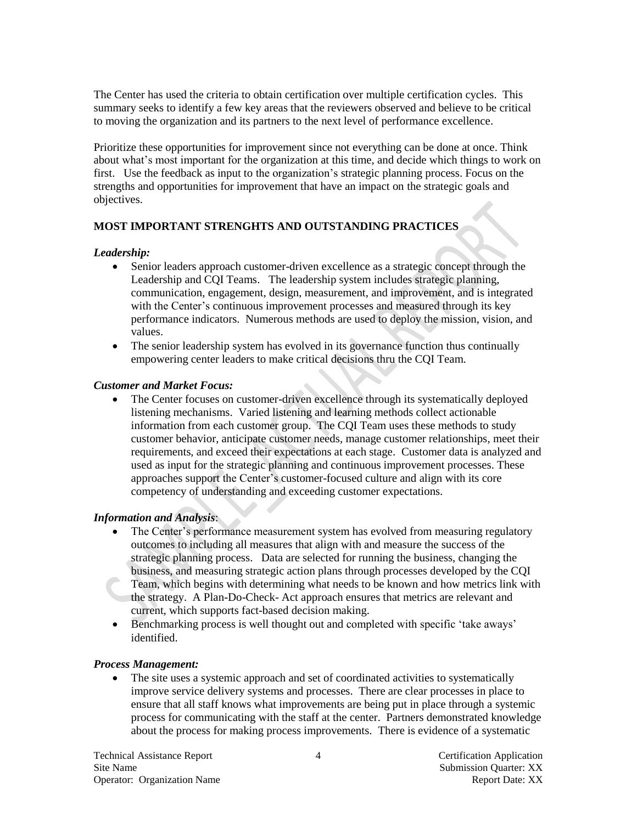The Center has used the criteria to obtain certification over multiple certification cycles. This summary seeks to identify a few key areas that the reviewers observed and believe to be critical to moving the organization and its partners to the next level of performance excellence.

Prioritize these opportunities for improvement since not everything can be done at once. Think about what's most important for the organization at this time, and decide which things to work on first. Use the feedback as input to the organization's strategic planning process. Focus on the strengths and opportunities for improvement that have an impact on the strategic goals and objectives.

#### **MOST IMPORTANT STRENGHTS AND OUTSTANDING PRACTICES**

#### *Leadership:*

- Senior leaders approach customer-driven excellence as a strategic concept through the Leadership and CQI Teams. The leadership system includes strategic planning, communication, engagement, design, measurement, and improvement, and is integrated with the Center's continuous improvement processes and measured through its key performance indicators. Numerous methods are used to deploy the mission, vision, and values.
- The senior leadership system has evolved in its governance function thus continually empowering center leaders to make critical decisions thru the CQI Team.

#### *Customer and Market Focus:*

 The Center focuses on customer-driven excellence through its systematically deployed listening mechanisms. Varied listening and learning methods collect actionable information from each customer group. The CQI Team uses these methods to study customer behavior, anticipate customer needs, manage customer relationships, meet their requirements, and exceed their expectations at each stage. Customer data is analyzed and used as input for the strategic planning and continuous improvement processes. These approaches support the Center's customer-focused culture and align with its core competency of understanding and exceeding customer expectations.

#### *Information and Analysis*:

- The Center's performance measurement system has evolved from measuring regulatory outcomes to including all measures that align with and measure the success of the strategic planning process. Data are selected for running the business, changing the business, and measuring strategic action plans through processes developed by the CQI Team, which begins with determining what needs to be known and how metrics link with the strategy. A Plan-Do-Check- Act approach ensures that metrics are relevant and current, which supports fact-based decision making.
- Benchmarking process is well thought out and completed with specific 'take aways' identified.

#### *Process Management:*

 The site uses a systemic approach and set of coordinated activities to systematically improve service delivery systems and processes. There are clear processes in place to ensure that all staff knows what improvements are being put in place through a systemic process for communicating with the staff at the center. Partners demonstrated knowledge about the process for making process improvements. There is evidence of a systematic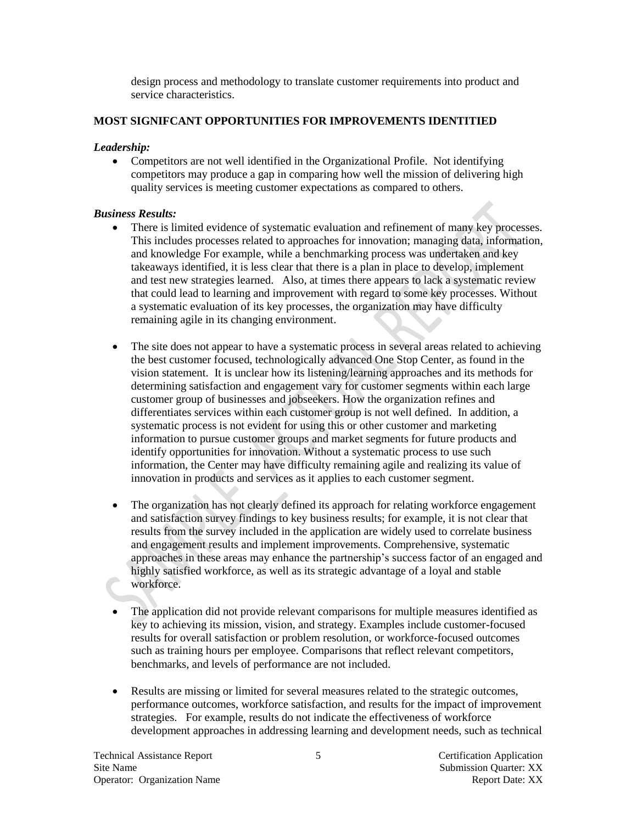design process and methodology to translate customer requirements into product and service characteristics.

#### **MOST SIGNIFCANT OPPORTUNITIES FOR IMPROVEMENTS IDENTITIED**

#### *Leadership:*

 Competitors are not well identified in the Organizational Profile. Not identifying competitors may produce a gap in comparing how well the mission of delivering high quality services is meeting customer expectations as compared to others.

#### *Business Results:*

- There is limited evidence of systematic evaluation and refinement of many key processes. This includes processes related to approaches for innovation; managing data, information, and knowledge For example, while a benchmarking process was undertaken and key takeaways identified, it is less clear that there is a plan in place to develop, implement and test new strategies learned. Also, at times there appears to lack a systematic review that could lead to learning and improvement with regard to some key processes. Without a systematic evaluation of its key processes, the organization may have difficulty remaining agile in its changing environment.
- The site does not appear to have a systematic process in several areas related to achieving the best customer focused, technologically advanced One Stop Center, as found in the vision statement. It is unclear how its listening/learning approaches and its methods for determining satisfaction and engagement vary for customer segments within each large customer group of businesses and jobseekers. How the organization refines and differentiates services within each customer group is not well defined. In addition, a systematic process is not evident for using this or other customer and marketing information to pursue customer groups and market segments for future products and identify opportunities for innovation. Without a systematic process to use such information, the Center may have difficulty remaining agile and realizing its value of innovation in products and services as it applies to each customer segment.
- The organization has not clearly defined its approach for relating workforce engagement and satisfaction survey findings to key business results; for example, it is not clear that results from the survey included in the application are widely used to correlate business and engagement results and implement improvements. Comprehensive, systematic approaches in these areas may enhance the partnership's success factor of an engaged and highly satisfied workforce, as well as its strategic advantage of a loyal and stable workforce.
- The application did not provide relevant comparisons for multiple measures identified as key to achieving its mission, vision, and strategy. Examples include customer-focused results for overall satisfaction or problem resolution, or workforce-focused outcomes such as training hours per employee. Comparisons that reflect relevant competitors, benchmarks, and levels of performance are not included.
- Results are missing or limited for several measures related to the strategic outcomes, performance outcomes, workforce satisfaction, and results for the impact of improvement strategies. For example, results do not indicate the effectiveness of workforce development approaches in addressing learning and development needs, such as technical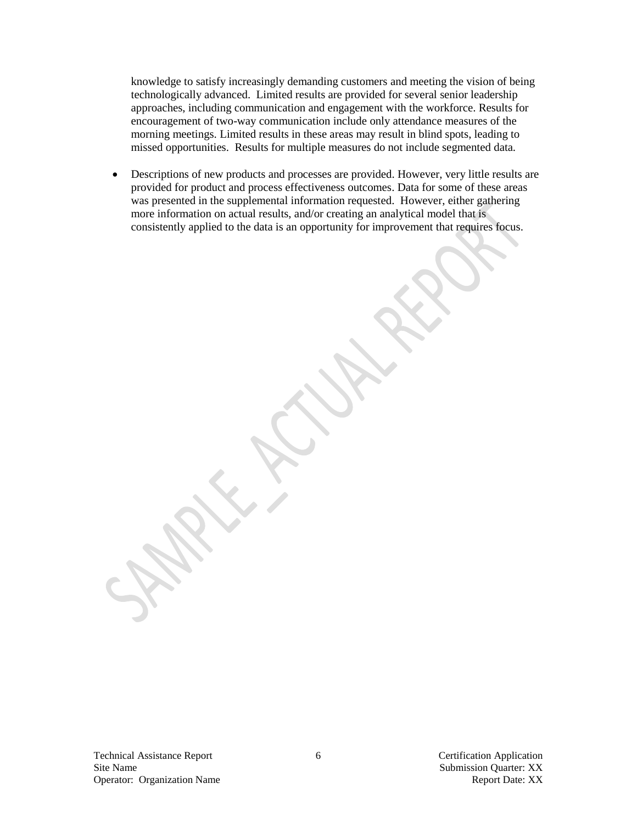knowledge to satisfy increasingly demanding customers and meeting the vision of being technologically advanced. Limited results are provided for several senior leadership approaches, including communication and engagement with the workforce. Results for encouragement of two-way communication include only attendance measures of the morning meetings. Limited results in these areas may result in blind spots, leading to missed opportunities. Results for multiple measures do not include segmented data.

 Descriptions of new products and processes are provided. However, very little results are provided for product and process effectiveness outcomes. Data for some of these areas was presented in the supplemental information requested. However, either gathering more information on actual results, and/or creating an analytical model that is consistently applied to the data is an opportunity for improvement that requires focus.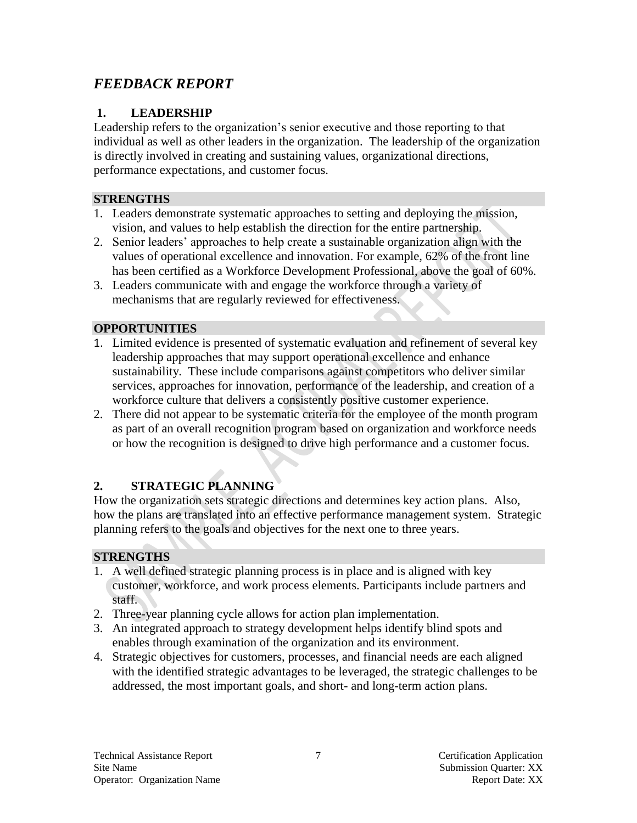# *FEEDBACK REPORT*

## **1. LEADERSHIP**

Leadership refers to the organization's senior executive and those reporting to that individual as well as other leaders in the organization. The leadership of the organization is directly involved in creating and sustaining values, organizational directions, performance expectations, and customer focus.

## **STRENGTHS**

- 1. Leaders demonstrate systematic approaches to setting and deploying the mission, vision, and values to help establish the direction for the entire partnership.
- 2. Senior leaders' approaches to help create a sustainable organization align with the values of operational excellence and innovation. For example, 62% of the front line has been certified as a Workforce Development Professional, above the goal of 60%.
- 3. Leaders communicate with and engage the workforce through a variety of mechanisms that are regularly reviewed for effectiveness.

## **OPPORTUNITIES**

- 1. Limited evidence is presented of systematic evaluation and refinement of several key leadership approaches that may support operational excellence and enhance sustainability. These include comparisons against competitors who deliver similar services, approaches for innovation, performance of the leadership, and creation of a workforce culture that delivers a consistently positive customer experience.
- 2. There did not appear to be systematic criteria for the employee of the month program as part of an overall recognition program based on organization and workforce needs or how the recognition is designed to drive high performance and a customer focus.

# **2. STRATEGIC PLANNING**

How the organization sets strategic directions and determines key action plans. Also, how the plans are translated into an effective performance management system. Strategic planning refers to the goals and objectives for the next one to three years.

## **STRENGTHS**

- 1. A well defined strategic planning process is in place and is aligned with key customer, workforce, and work process elements. Participants include partners and staff.
- 2. Three-year planning cycle allows for action plan implementation.
- 3. An integrated approach to strategy development helps identify blind spots and enables through examination of the organization and its environment.
- 4. Strategic objectives for customers, processes, and financial needs are each aligned with the identified strategic advantages to be leveraged, the strategic challenges to be addressed, the most important goals, and short- and long-term action plans.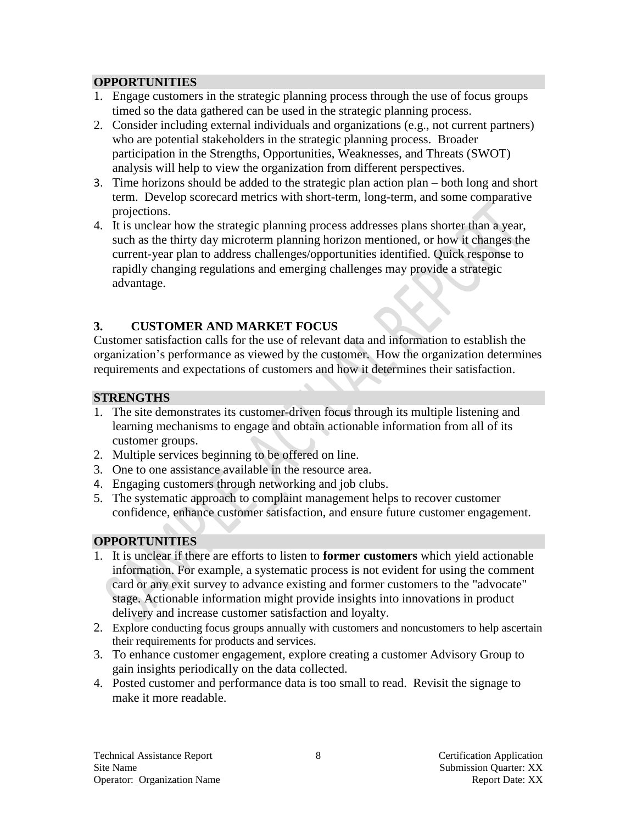### **OPPORTUNITIES**

- 1. Engage customers in the strategic planning process through the use of focus groups timed so the data gathered can be used in the strategic planning process.
- 2. Consider including external individuals and organizations (e.g., not current partners) who are potential stakeholders in the strategic planning process. Broader participation in the Strengths, Opportunities, Weaknesses, and Threats (SWOT) analysis will help to view the organization from different perspectives.
- 3. Time horizons should be added to the strategic plan action plan both long and short term. Develop scorecard metrics with short-term, long-term, and some comparative projections.
- 4. It is unclear how the strategic planning process addresses plans shorter than a year, such as the thirty day microterm planning horizon mentioned, or how it changes the current-year plan to address challenges/opportunities identified. Quick response to rapidly changing regulations and emerging challenges may provide a strategic advantage.

# **3. CUSTOMER AND MARKET FOCUS**

Customer satisfaction calls for the use of relevant data and information to establish the organization's performance as viewed by the customer. How the organization determines requirements and expectations of customers and how it determines their satisfaction.

## **STRENGTHS**

- 1. The site demonstrates its customer-driven focus through its multiple listening and learning mechanisms to engage and obtain actionable information from all of its customer groups.
- 2. Multiple services beginning to be offered on line.
- 3. One to one assistance available in the resource area.
- 4. Engaging customers through networking and job clubs.
- 5. The systematic approach to complaint management helps to recover customer confidence, enhance customer satisfaction, and ensure future customer engagement.

# **OPPORTUNITIES**

- 1. It is unclear if there are efforts to listen to **former customers** which yield actionable information. For example, a systematic process is not evident for using the comment card or any exit survey to advance existing and former customers to the "advocate" stage. Actionable information might provide insights into innovations in product delivery and increase customer satisfaction and loyalty.
- 2. Explore conducting focus groups annually with customers and noncustomers to help ascertain their requirements for products and services.
- 3. To enhance customer engagement, explore creating a customer Advisory Group to gain insights periodically on the data collected.
- 4. Posted customer and performance data is too small to read. Revisit the signage to make it more readable.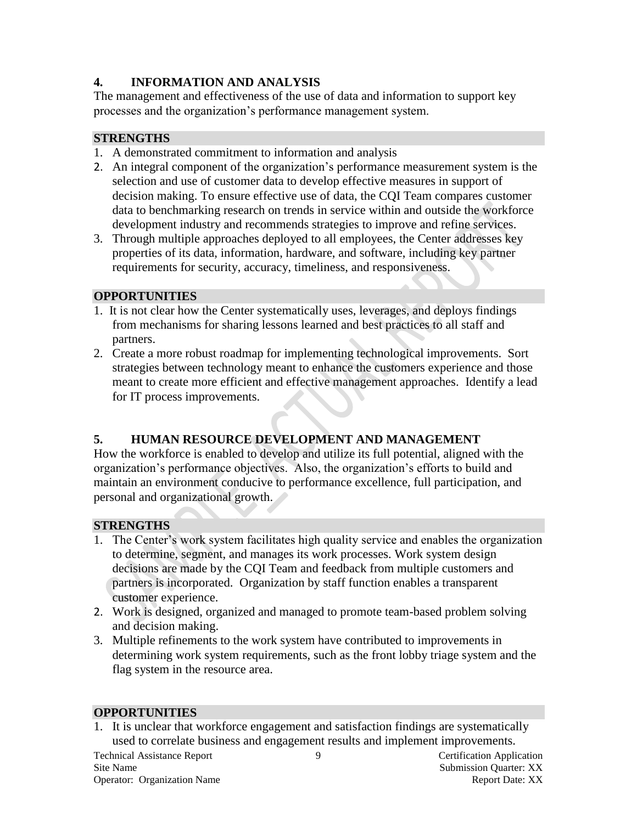## **4. INFORMATION AND ANALYSIS**

The management and effectiveness of the use of data and information to support key processes and the organization's performance management system.

## **STRENGTHS**

- 1. A demonstrated commitment to information and analysis
- 2. An integral component of the organization's performance measurement system is the selection and use of customer data to develop effective measures in support of decision making. To ensure effective use of data, the CQI Team compares customer data to benchmarking research on trends in service within and outside the workforce development industry and recommends strategies to improve and refine services.
- 3. Through multiple approaches deployed to all employees, the Center addresses key properties of its data, information, hardware, and software, including key partner requirements for security, accuracy, timeliness, and responsiveness.

### **OPPORTUNITIES**

- 1. It is not clear how the Center systematically uses, leverages, and deploys findings from mechanisms for sharing lessons learned and best practices to all staff and partners.
- 2. Create a more robust roadmap for implementing technological improvements. Sort strategies between technology meant to enhance the customers experience and those meant to create more efficient and effective management approaches. Identify a lead for IT process improvements.

## **5. HUMAN RESOURCE DEVELOPMENT AND MANAGEMENT**

How the workforce is enabled to develop and utilize its full potential, aligned with the organization's performance objectives. Also, the organization's efforts to build and maintain an environment conducive to performance excellence, full participation, and personal and organizational growth.

## **STRENGTHS**

- 1. The Center's work system facilitates high quality service and enables the organization to determine, segment, and manages its work processes. Work system design decisions are made by the CQI Team and feedback from multiple customers and partners is incorporated. Organization by staff function enables a transparent customer experience.
- 2. Work is designed, organized and managed to promote team-based problem solving and decision making.
- 3. Multiple refinements to the work system have contributed to improvements in determining work system requirements, such as the front lobby triage system and the flag system in the resource area.

### **OPPORTUNITIES**

1. It is unclear that workforce engagement and satisfaction findings are systematically used to correlate business and engagement results and implement improvements.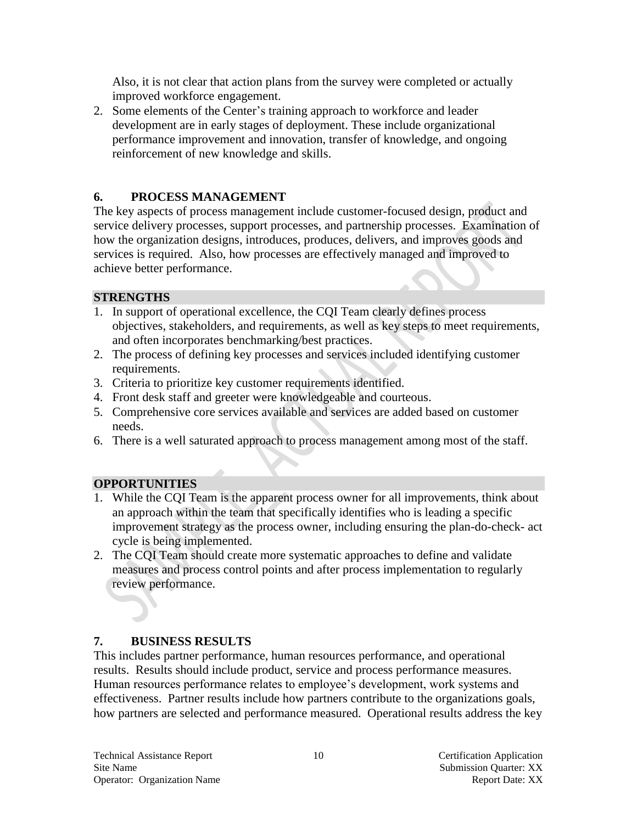Also, it is not clear that action plans from the survey were completed or actually improved workforce engagement.

2. Some elements of the Center's training approach to workforce and leader development are in early stages of deployment. These include organizational performance improvement and innovation, transfer of knowledge, and ongoing reinforcement of new knowledge and skills.

### **6. PROCESS MANAGEMENT**

The key aspects of process management include customer-focused design, product and service delivery processes, support processes, and partnership processes. Examination of how the organization designs, introduces, produces, delivers, and improves goods and services is required. Also, how processes are effectively managed and improved to achieve better performance.

### **STRENGTHS**

- 1. In support of operational excellence, the CQI Team clearly defines process objectives, stakeholders, and requirements, as well as key steps to meet requirements, and often incorporates benchmarking/best practices.
- 2. The process of defining key processes and services included identifying customer requirements.
- 3. Criteria to prioritize key customer requirements identified.
- 4. Front desk staff and greeter were knowledgeable and courteous.
- 5. Comprehensive core services available and services are added based on customer needs.
- 6. There is a well saturated approach to process management among most of the staff.

## **OPPORTUNITIES**

- 1. While the CQI Team is the apparent process owner for all improvements, think about an approach within the team that specifically identifies who is leading a specific improvement strategy as the process owner, including ensuring the plan-do-check- act cycle is being implemented.
- 2. The CQI Team should create more systematic approaches to define and validate measures and process control points and after process implementation to regularly review performance.

## **7. BUSINESS RESULTS**

This includes partner performance, human resources performance, and operational results. Results should include product, service and process performance measures. Human resources performance relates to employee's development, work systems and effectiveness. Partner results include how partners contribute to the organizations goals, how partners are selected and performance measured. Operational results address the key